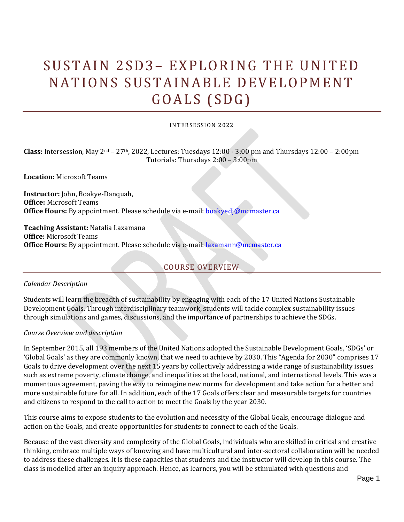# SUSTAIN 2SD3- EXPLORING THE UNITED NATIONS SUSTAINABLE DEVELOPMENT GOALS (SDG)

#### INTERSESSION 2022

**Class:** Intersession, May 2nd – 27th, 2022, Lectures: Tuesdays 12:00 - 3:00 pm and Thursdays 12:00 – 2:00pm Tutorials: Thursdays 2:00 – 3:00pm

**Location:** Microsoft Teams

**Instructor:** John, Boakye-Danquah[,](mailto:EMAIL@mcmaster.ca)  **Office:** Microsoft Teams **Office Hours:** By appointment. Please schedule via e-mail: **boakyedj@mcmaster.ca** 

**Teaching Assistant:** Natalia Laxamana O**ffice:** Microsoft Teams **Office Hours:** By appointment. Please schedule via e-mail: [laxamann@mcmaster.ca](mailto:laxamann@mcmaster.ca)

# COURSE OVERVIEW

*Calendar Description*

Students will learn the breadth of sustainability by engaging with each of the 17 United Nations Sustainable Development Goals. Through interdisciplinary teamwork, students will tackle complex sustainability issues through simulations and games, discussions, and the importance of partnerships to achieve the SDGs.

#### *Course Overview and description*

In September 2015, all 193 members of the United Nations adopted the Sustainable Development Goals, 'SDGs' or 'Global Goals' as they are commonly known, that we need to achieve by 2030. This "Agenda for 2030" comprises 17 Goals to drive development over the next 15 years by collectively addressing a wide range of sustainability issues such as extreme poverty, climate change, and inequalities at the local, national, and international levels. This was a momentous agreement, paving the way to reimagine new norms for development and take action for a better and more sustainable future for all. In addition, each of the 17 Goals offers clear and measurable targets for countries and citizens to respond to the call to action to meet the Goals by the year 2030.

This course aims to expose students to the evolution and necessity of the Global Goals, encourage dialogue and action on the Goals, and create opportunities for students to connect to each of the Goals.

Because of the vast diversity and complexity of the Global Goals, individuals who are skilled in critical and creative thinking, embrace multiple ways of knowing and have multicultural and inter-sectoral collaboration will be needed to address these challenges. It is these capacities that students and the instructor will develop in this course. The class is modelled after an inquiry approach. Hence, as learners, you will be stimulated with questions and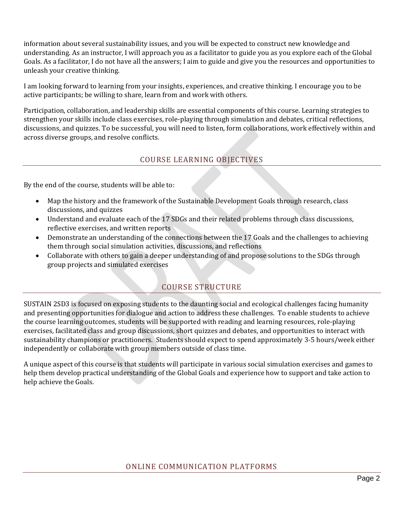information about several sustainability issues, and you will be expected to construct new knowledge and understanding. As an instructor, I will approach you as a facilitator to guide you as you explore each of the Global Goals. As a facilitator, I do not have all the answers; I aim to guide and give you the resources and opportunities to unleash your creative thinking.

I am looking forward to learning from your insights, experiences, and creative thinking. I encourage you to be active participants; be willing to share, learn from and work with others.

Participation, collaboration, and leadership skills are essential components of this course. Learning strategies to strengthen your skills include class exercises, role-playing through simulation and debates, critical reflections, discussions, and quizzes. To be successful, you will need to listen, form collaborations, work effectively within and across diverse groups, and resolve conflicts.

# COURSE LEARNING OBJECTIVES

By the end of the course, students will be able to:

- Map the history and the framework of the Sustainable Development Goals through research, class discussions, and quizzes
- Understand and evaluate each of the 17 SDGs and their related problems through class discussions, reflective exercises, and written reports
- Demonstrate an understanding of the connections between the 17 Goals and the challenges to achieving them through social simulation activities, discussions, and reflections
- Collaborate with others to gain a deeper understanding of and propose solutions to the SDGs through group projects and simulated exercises

# COURSE STRUCTURE

SUSTAIN 2SD3 is focused on exposing students to the daunting social and ecological challenges facing humanity and presenting opportunities for dialogue and action to address these challenges. To enable students to achieve the course learning outcomes, students will be supported with reading and learning resources, role-playing exercises, facilitated class and group discussions, short quizzes and debates, and opportunities to interact with sustainability champions or practitioners. Students should expect to spend approximately 3-5 hours/week either independently or collaborate with group members outside of class time.

A unique aspect of this course is that students will participate in various social simulation exercises and games to help them develop practical understanding of the Global Goals and experience how to support and take action to help achieve the Goals.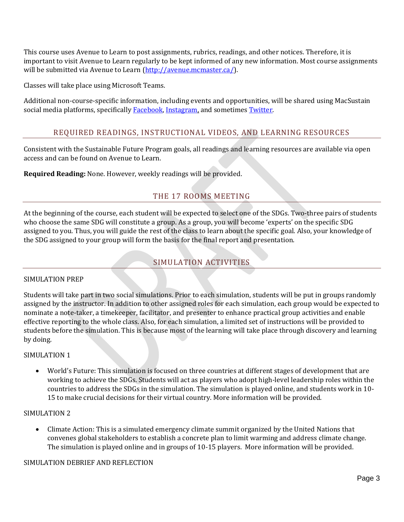This course uses Avenue to Learn to post assignments, rubrics, readings, and other notices. Therefore, it is important to visit Avenue to Learn regularly to be kept informed of any new information. Most course assignments will be submitted via Avenue to Learn [\(http://avenue.mcmaster.ca/\)](http://avenue.mcmaster.ca/).

Classes will take place using Microsoft Teams.

Additional non-course-specific information, including events and opportunities, will be shared using MacSustain social media platforms, specifically [Facebook,](https://www.odi.org/sites/odi.org.uk/files/resource-documents/11329.pdf) [Instagram,](https://uk.sagepub.com/sites/default/files/upm-binaries/32441_01_Bolton_3e_Ch_01.pdf) and sometimes [Twitter.](https://twitter.com/MacSustain)

# REQUIRED READINGS, INSTRUCTIONAL VIDEOS, AND LEARNING RESOURCES

Consistent with the Sustainable Future Program goals, all readings and learning resources are available via open access and can be found on Avenue to Learn.

**Required Reading:** None. However, weekly readings will be provided.

# THE 17 ROOMS MEETING

At the beginning of the course, each student will be expected to select one of the SDGs. Two-three pairs of students who choose the same SDG will constitute a group. As a group, you will become 'experts' on the specific SDG assigned to you. Thus, you will guide the rest of the class to learn about the specific goal. Also, your knowledge of the SDG assigned to your group will form the basis for the final report and presentation.

# SIMULATION ACTIVITIES

## SIMULATION PREP

Students will take part in two social simulations. Prior to each simulation, students will be put in groups randomly assigned by the instructor. In addition to other assigned roles for each simulation, each group would be expected to nominate a note-taker, a timekeeper, facilitator, and presenter to enhance practical group activities and enable effective reporting to the whole class. Also, for each simulation, a limited set of instructions will be provided to students before the simulation. This is because most of the learning will take place through discovery and learning by doing.

## SIMULATION 1

• World's Future: This simulation is focused on three countries at different stages of development that are working to achieve the SDGs. Students will act as players who adopt high-level leadership roles within the countries to address the SDGs in the simulation. The simulation is played online, and students work in 10- 15 to make crucial decisions for their virtual country. More information will be provided.

#### SIMULATION 2

• Climate Action: This is a simulated emergency climate summit organized by the United Nations that convenes global stakeholders to establish a concrete plan to limit warming and address climate change. The simulation is played online and in groups of 10-15 players. More information will be provided.

#### SIMULATION DEBRIEF AND REFLECTION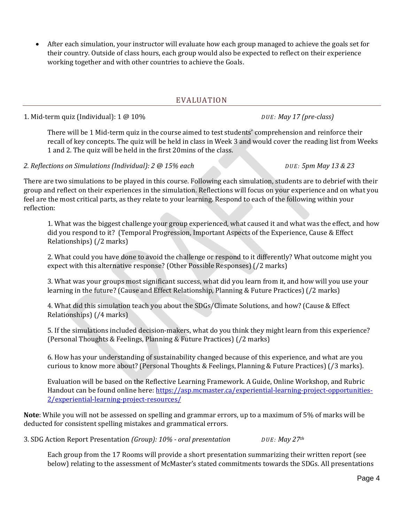• After each simulation, your instructor will evaluate how each group managed to achieve the goals set for their country. Outside of class hours, each group would also be expected to reflect on their experience working together and with other countries to achieve the Goals.

## EVALUATION

1. Mid-term quiz (Individual): 1 @ 10% *D U E : May 17 (pre-class)*

There will be 1 Mid-term quiz in the course aimed to test students' comprehension and reinforce their recall of key concepts. The quiz will be held in class in Week 3 and would cover the reading list from Weeks 1 and 2. The quiz will be held in the first 20mins of the class.

*2. Reflections on Simulations (Individual): 2 @ 15% each D U E : 5pm May 13 & 23*

There are two simulations to be played in this course. Following each simulation, students are to debrief with their group and reflect on their experiences in the simulation. Reflections will focus on your experience and on what you feel are the most critical parts, as they relate to your learning. Respond to each of the following within your reflection:

1. What was the biggest challenge your group experienced, what caused it and what was the effect, and how did you respond to it? (Temporal Progression, Important Aspects of the Experience, Cause & Effect Relationships) (/2 marks)

2. What could you have done to avoid the challenge or respond to it differently? What outcome might you expect with this alternative response? (Other Possible Responses) (/2 marks)

3. What was your groups most significant success, what did you learn from it, and how will you use your learning in the future? (Cause and Effect Relationship, Planning & Future Practices) (/2 marks)

4. What did this simulation teach you about the SDGs/Climate Solutions, and how? (Cause & Effect Relationships) (/4 marks)

5. If the simulations included decision-makers, what do you think they might learn from this experience? (Personal Thoughts & Feelings, Planning & Future Practices) (/2 marks)

6. How has your understanding of sustainability changed because of this experience, and what are you curious to know more about? (Personal Thoughts & Feelings, Planning & Future Practices) (/3 marks).

Evaluation will be based on the Reflective Learning Framework. A Guide, Online Workshop, and Rubric Handout can be found online here: [https://asp.mcmaster.ca/experiential-learning-project-opportunities-](https://asp.mcmaster.ca/experiential-learning-project-opportunities-2/experiential-learning-project-resources/)[2/experiential-learning-project-resources/](https://asp.mcmaster.ca/experiential-learning-project-opportunities-2/experiential-learning-project-resources/)

**Note**: While you will not be assessed on spelling and grammar errors, up to a maximum of 5% of marks will be deducted for consistent spelling mistakes and grammatical errors.

3. SDG Action Report Presentation *(Group): 10% - oral presentation D U E : May 27th*

Each group from the 17 Rooms will provide a short presentation summarizing their written report (see below) relating to the assessment of McMaster's stated commitments towards the SDGs. All presentations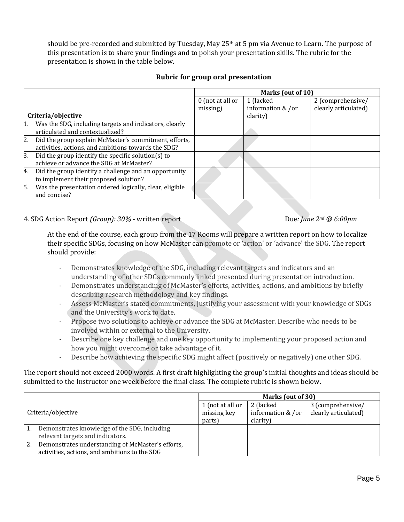should be pre-recorded and submitted by Tuesday, May 25<sup>th</sup> at 5 pm via Avenue to Learn. The purpose of this presentation is to share your findings and to polish your presentation skills. The rubric for the presentation is shown in the table below.

| <b>Rubric for group oral presentation</b> |  |  |
|-------------------------------------------|--|--|
|-------------------------------------------|--|--|

|                    |                                                                                                              | Marks (out of 10)  |                   |                      |
|--------------------|--------------------------------------------------------------------------------------------------------------|--------------------|-------------------|----------------------|
|                    |                                                                                                              | $0$ (not at all or | 1 (lacked         | 2 (comprehensive/    |
|                    |                                                                                                              | missing)           | information & /or | clearly articulated) |
| Criteria/objective |                                                                                                              |                    | clarity)          |                      |
| $\mathbf{1}$ .     | Was the SDG, including targets and indicators, clearly<br>articulated and contextualized?                    |                    |                   |                      |
| 2.                 | Did the group explain McMaster's commitment, efforts,<br>activities, actions, and ambitions towards the SDG? |                    |                   |                      |
| Β.                 | Did the group identify the specific solution(s) to<br>achieve or advance the SDG at McMaster?                |                    |                   |                      |
| 4.                 | Did the group identify a challenge and an opportunity<br>to implement their proposed solution?               |                    |                   |                      |
| 5.                 | Was the presentation ordered logically, clear, eligible<br>and concise?                                      |                    |                   |                      |

4. SDG Action Report *(Group): 30%* - written report Due*: June 2nd @ 6:00pm*

At the end of the course, each group from the 17 Rooms will prepare a written report on how to localize their specific SDGs, focusing on how McMaster can promote or 'action' or 'advance' the SDG. The report should provide:

- Demonstrates knowledge of the SDG, including relevant targets and indicators and an understanding of other SDGs commonly linked presented during presentation introduction.
- Demonstrates understanding of McMaster's efforts, activities, actions, and ambitions by briefly describing research methodology and key findings.
- Assess McMaster's stated commitments, justifying your assessment with your knowledge of SDGs and the University's work to date.
- Propose two solutions to achieve or advance the SDG at McMaster. Describe who needs to be involved within or external to the University.
- Describe one key challenge and one key opportunity to implementing your proposed action and how you might overcome or take advantage of it.
- Describe how achieving the specific SDG might affect (positively or negatively) one other SDG.

The report should not exceed 2000 words. A first draft highlighting the group's initial thoughts and ideas should be submitted to the Instructor one week before the final class. The complete rubric is shown below.

|                    |                                                   | Marks (out of 30) |                   |                      |
|--------------------|---------------------------------------------------|-------------------|-------------------|----------------------|
|                    |                                                   | 1 (not at all or  | 2 (lacked)        | 3 (comprehensive/    |
| Criteria/objective |                                                   | missing key       | information & /or | clearly articulated) |
|                    |                                                   | parts)            | clarity)          |                      |
|                    | Demonstrates knowledge of the SDG, including      |                   |                   |                      |
|                    | relevant targets and indicators.                  |                   |                   |                      |
|                    | Demonstrates understanding of McMaster's efforts, |                   |                   |                      |
|                    | activities, actions, and ambitions to the SDG     |                   |                   |                      |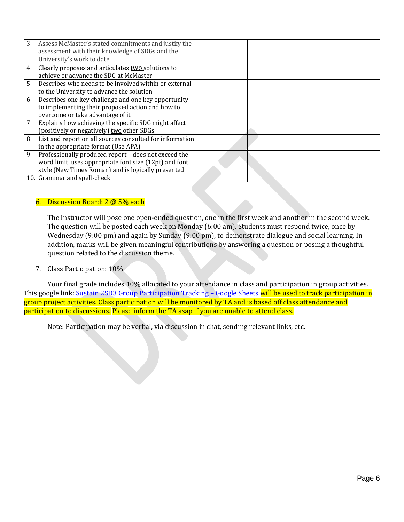| 3. | Assess McMaster's stated commitments and justify the<br>assessment with their knowledge of SDGs and the<br>University's work to date                                 |  |  |
|----|----------------------------------------------------------------------------------------------------------------------------------------------------------------------|--|--|
| 4. | Clearly proposes and articulates two solutions to<br>achieve or advance the SDG at McMaster                                                                          |  |  |
| 5. | Describes who needs to be involved within or external<br>to the University to advance the solution                                                                   |  |  |
| 6. | Describes one key challenge and one key opportunity<br>to implementing their proposed action and how to<br>overcome or take advantage of it                          |  |  |
| 7. | Explains how achieving the specific SDG might affect<br>(positively or negatively) two other SDGs                                                                    |  |  |
| 8. | List and report on all sources consulted for information<br>in the appropriate format (Use APA)                                                                      |  |  |
| 9. | Professionally produced report - does not exceed the<br>word limit, uses appropriate font size (12pt) and font<br>style (New Times Roman) and is logically presented |  |  |
|    | 10. Grammar and spell-check                                                                                                                                          |  |  |

#### 6. Discussion Board: 2 @ 5% each

The Instructor will pose one open-ended question, one in the first week and another in the second week. The question will be posted each week on Monday (6:00 am). Students must respond twice, once by Wednesday (9:00 pm) and again by Sunday (9:00 pm), to demonstrate dialogue and social learning. In addition, marks will be given meaningful contributions by answering a question or posing a thoughtful question related to the discussion theme.

#### 7. Class Participation: 10%

Your final grade includes 10% allocated to your attendance in class and participation in group activities. This google link: [Sustain 2SD3 Group Participation Tracking](https://docs.google.com/spreadsheets/d/1Bj59AtzRE7tjLFQJF7ExStLNjRezzLh8g4U3viv_hDg/edit#gid=88149033) - Google Sheets will be used to track participation in group project activities. Class participation will be monitored by TA and is based off class attendance and participation to discussions. Please inform the TA asap if you are unable to attend class.

Note: Participation may be verbal, via discussion in chat, sending relevant links, etc.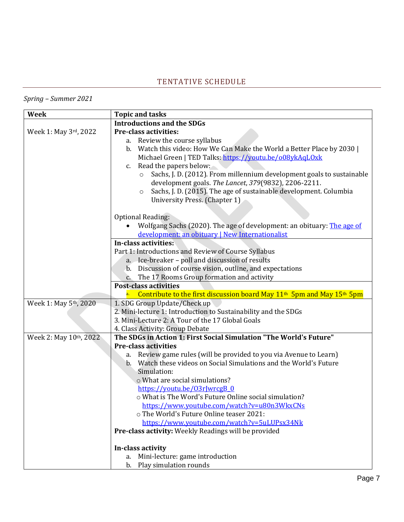# TENTATIVE SCHEDULE

# *Spring – Summer 2021*

| Week                   | <b>Topic and tasks</b>                                                                                                                   |  |
|------------------------|------------------------------------------------------------------------------------------------------------------------------------------|--|
|                        | <b>Introductions and the SDGs</b>                                                                                                        |  |
| Week 1: May 3rd, 2022  | <b>Pre-class activities:</b>                                                                                                             |  |
|                        | a. Review the course syllabus                                                                                                            |  |
|                        | b. Watch this video: How We Can Make the World a Better Place by 2030                                                                    |  |
|                        | Michael Green   TED Talks: https://youtu.be/o08ykAqLOxk                                                                                  |  |
|                        | c. Read the papers below:                                                                                                                |  |
|                        | Sachs, J. D. (2012). From millennium development goals to sustainable                                                                    |  |
|                        | development goals. The Lancet, 379(9832), 2206-2211.                                                                                     |  |
|                        | Sachs, J. D. (2015). The age of sustainable development. Columbia<br>$\circ$                                                             |  |
|                        | University Press. (Chapter 1)                                                                                                            |  |
|                        |                                                                                                                                          |  |
|                        | <b>Optional Reading:</b>                                                                                                                 |  |
|                        | Wolfgang Sachs (2020). The age of development: an obituary: The age of                                                                   |  |
|                        | development: an obituary   New Internationalist                                                                                          |  |
|                        | In-class activities:                                                                                                                     |  |
|                        | Part 1: Introductions and Review of Course Syllabus                                                                                      |  |
|                        | a. Ice-breaker - poll and discussion of results                                                                                          |  |
|                        | b. Discussion of course vision, outline, and expectations                                                                                |  |
|                        | c. The 17 Rooms Group formation and activity                                                                                             |  |
|                        | <b>Post-class activities</b>                                                                                                             |  |
|                        | Contribute to the first discussion board May $11th$ 5pm and May $15th$ 5pm                                                               |  |
| Week 1: May 5th, 2020  | 1. SDG Group Update/Check up                                                                                                             |  |
|                        | 2. Mini-lecture 1: Introduction to Sustainability and the SDGs                                                                           |  |
|                        | 3. Mini-Lecture 2: A Tour of the 17 Global Goals                                                                                         |  |
|                        | 4. Class Activity: Group Debate                                                                                                          |  |
| Week 2: May 10th, 2022 | The SDGs in Action 1: First Social Simulation "The World's Future"                                                                       |  |
|                        | <b>Pre-class activities</b>                                                                                                              |  |
|                        | Review game rules (will be provided to you via Avenue to Learn)<br>a.<br>Watch these videos on Social Simulations and the World's Future |  |
|                        | $\mathbf b$ .<br>Simulation:                                                                                                             |  |
|                        | o What are social simulations?                                                                                                           |  |
|                        | https://youtu.be/03rJwrcgB_0                                                                                                             |  |
|                        | o What is The Word's Future Online social simulation?                                                                                    |  |
|                        | <u> https://www.youtube.com/watch?v=u80n3WkxCNs</u>                                                                                      |  |
|                        | o The World's Future Online teaser 2021:                                                                                                 |  |
|                        | https://www.youtube.com/watch?v=5uLUPsx34Nk                                                                                              |  |
|                        | Pre-class activity: Weekly Readings will be provided                                                                                     |  |
|                        |                                                                                                                                          |  |
|                        | In-class activity                                                                                                                        |  |
|                        | Mini-lecture: game introduction<br>a.                                                                                                    |  |
|                        | b. Play simulation rounds                                                                                                                |  |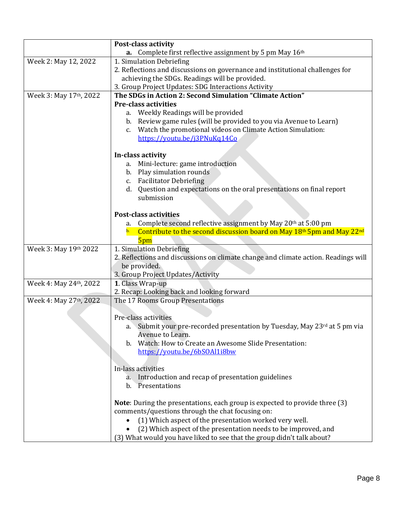| <b>Post-class activity</b>                                                          |  |
|-------------------------------------------------------------------------------------|--|
| a. Complete first reflective assignment by 5 pm May 16th                            |  |
| 1. Simulation Debriefing                                                            |  |
| 2. Reflections and discussions on governance and institutional challenges for       |  |
| achieving the SDGs. Readings will be provided.                                      |  |
| 3. Group Project Updates: SDG Interactions Activity                                 |  |
| The SDGs in Action 2: Second Simulation "Climate Action"                            |  |
| <b>Pre-class activities</b>                                                         |  |
| a. Weekly Readings will be provided                                                 |  |
| Review game rules (will be provided to you via Avenue to Learn)<br>b.               |  |
| Watch the promotional videos on Climate Action Simulation:<br>$c_{\cdot}$           |  |
| https://youtu.be/j3PNuKq14Co                                                        |  |
| In-class activity                                                                   |  |
| Mini-lecture: game introduction<br>a.                                               |  |
| b. Play simulation rounds                                                           |  |
| c. Facilitator Debriefing                                                           |  |
| d. Question and expectations on the oral presentations on final report              |  |
| submission                                                                          |  |
| <b>Post-class activities</b>                                                        |  |
| Complete second reflective assignment by May 20th at 5:00 pm<br>a.                  |  |
| Contribute to the second discussion board on May 18th 5pm and May 22nd<br>b.        |  |
| 5pm                                                                                 |  |
| 1. Simulation Debriefing                                                            |  |
| 2. Reflections and discussions on climate change and climate action. Readings will  |  |
| be provided.                                                                        |  |
| 3. Group Project Updates/Activity                                                   |  |
| 1. Class Wrap-up                                                                    |  |
| 2. Recap: Looking back and looking forward                                          |  |
| The 17 Rooms Group Presentations                                                    |  |
|                                                                                     |  |
| Pre-class activities                                                                |  |
| a. Submit your pre-recorded presentation by Tuesday, May 23rd at 5 pm via           |  |
| Avenue to Learn.                                                                    |  |
| Watch: How to Create an Awesome Slide Presentation:<br>b.                           |  |
| https://youtu.be/6bSOAl1i8bw                                                        |  |
|                                                                                     |  |
| In-lass activities                                                                  |  |
| a. Introduction and recap of presentation guidelines                                |  |
| b. Presentations                                                                    |  |
| <b>Note</b> : During the presentations, each group is expected to provide three (3) |  |
| comments/questions through the chat focusing on:                                    |  |
| (1) Which aspect of the presentation worked very well.<br>$\bullet$                 |  |
| (2) Which aspect of the presentation needs to be improved, and                      |  |
| (3) What would you have liked to see that the group didn't talk about?              |  |
|                                                                                     |  |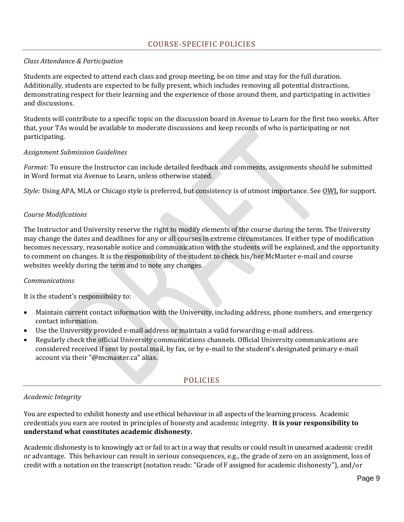## *Class Attendance & Participation*

Students are expected to attend each class and group meeting, be on time and stay for the full duration. Additionally, students are expected to be fully present, which includes removing all potential distractions, demonstrating respect for their learning and the experience of those around them, and participating in activities and discussions.

Students will contribute to a specific topic on the discussion board in Avenue to Learn for the first two weeks. After that, your TAs would be available to moderate discussions and keep records of who is participating or not participating.

#### *Assignment Submission Guidelines*

*Format:* To ensure the Instructor can include detailed feedback and comments, assignments should be submitted in Word format via Avenue to Learn, unless otherwise stated.

Style: Using APA, MLA or Chicago style is preferred, but consistency is of utmost importance. See [OWL](https://owl.purdue.edu/owl/research_and_citation/apa_style/apa_formatting_and_style_guide/general_format.html) for support.

#### *Course Modifications*

The Instructor and University reserve the right to modify elements of the course during the term. The University may change the dates and deadlines for any or all courses in extreme circumstances. If either type of modification becomes necessary, reasonable notice and communication with the students will be explained, and the opportunity to comment on changes. It is the responsibility of the student to check his/her McMaster e-mail and course websites weekly during the term and to note any changes.

## *Communications*

It is the student's responsibility to:

- Maintain current contact information with the University, including address, phone numbers, and emergency contact information.
- Use the University provided e-mail address or maintain a valid forwarding e-mail address.
- Regularly check the official University communications channels. Official University communications are considered received if sent by postal mail, by fax, or by e-mail to the student's designated primary e-mail account via their "@mcmaster.ca" alias.

# POLICIES

## *Academic Integrity*

You are expected to exhibit honesty and use ethical behaviour in all aspects of the learning process. Academic credentials you earn are rooted in principles of honesty and academic integrity. **It is your responsibility to understand what constitutes academic dishonesty.**

Academic dishonesty is to knowingly act or fail to act in a way that results or could result in unearned academic credit or advantage. This behaviour can result in serious consequences, e.g., the grade of zero on an assignment, loss of credit with a notation on the transcript (notation reads: "Grade of F assigned for academic dishonesty"), and/or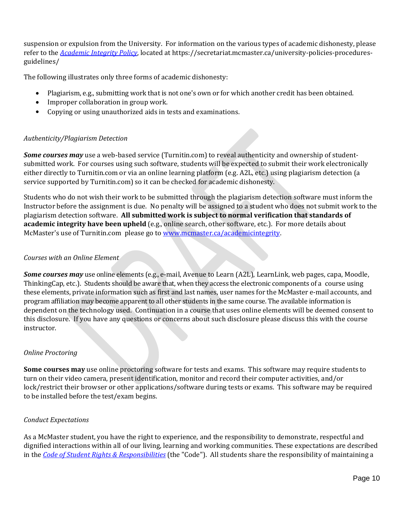suspension or expulsion from the University. For information on the various types of academic dishonesty, please refer to the *[Academic Integrity Policy](https://www144.statcan.gc.ca/sdg-odd/index-eng.htm)*, located at https://secretariat.mcmaster.ca/university-policies-proceduresguidelines/

The following illustrates only three forms of academic dishonesty:

- Plagiarism, e.g., submitting work that is not one's own or for which another credit has been obtained.
- Improper collaboration in group work.
- Copying or using unauthorized aids in tests and examinations.

## *Authenticity/Plagiarism Detection*

*Some courses may* use a web-based service (Turnitin.com) to reveal authenticity and ownership of studentsubmitted work. For courses using such software, students will be expected to submit their work electronically either directly to Turnitin.com or via an online learning platform (e.g. A2L, etc.) using plagiarism detection (a service supported by Turnitin.com) so it can be checked for academic dishonesty.

Students who do not wish their work to be submitted through the plagiarism detection software must inform the Instructor before the assignment is due. No penalty will be assigned to a student who does not submit work to the plagiarism detection software. **All submitted work is subject to normal verification that standards of academic integrity have been upheld** (e.g., online search, other software, etc.). For more details about McMaster's use of Turnitin.com please go to [www.mcmaster.ca/academicintegrity.](http://www.mcmaster.ca/univsec/fippa/fippa.cfm)

## *Courses with an Online Element*

*Some courses may* use online elements (e.g., e-mail, Avenue to Learn (A2L), LearnLink, web pages, capa, Moodle, ThinkingCap, etc.). Students should be aware that, when they access the electronic components of a course using these elements, private information such as first and last names, user names for the McMaster e-mail accounts, and program affiliation may become apparent to all other students in the same course. The available information is dependent on the technology used. Continuation in a course that uses online elements will be deemed consent to this disclosure. If you have any questions or concerns about such disclosure please discuss this with the course instructor.

## *Online Proctoring*

**Some courses may** use online proctoring software for tests and exams. This software may require students to turn on their video camera, present identification, monitor and record their computer activities, and/or lock/restrict their browser or other applications/software during tests or exams. This software may be required to be installed before the test/exam begins.

## *Conduct Expectations*

As a McMaster student, you have the right to experience, and the responsibility to demonstrate, respectful and dignified interactions within all of our living, learning and working communities. These expectations are described in the *Code of Student Rights & [Responsibilities](https://secretariat.mcmaster.ca/app/uploads/Code-of-Student-Rights-and-Responsibilities.pdf)* (the "Code"). All students share the responsibility of maintaining a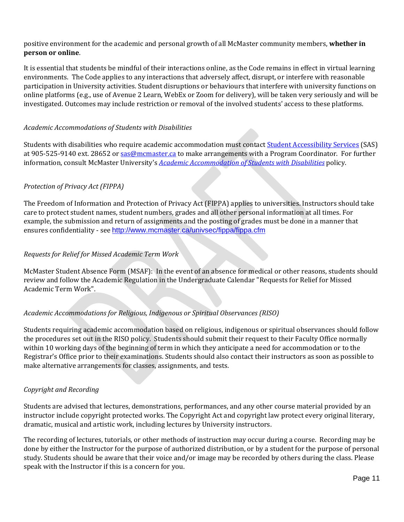positive environment for the academic and personal growth of all McMaster community members, **whether in person or online**.

It is essential that students be mindful of their interactions online, as the Code remains in effect in virtual learning environments. The Code applies to any interactions that adversely affect, disrupt, or interfere with reasonable participation in University activities. Student disruptions or behaviours that interfere with university functions on online platforms (e.g., use of Avenue 2 Learn, WebEx or Zoom for delivery), will be taken very seriously and will be investigated. Outcomes may include restriction or removal of the involved students' access to these platforms.

#### *Academic Accommodations of Students with Disabilities*

Students with disabilities who require academic accommodation must contact Student [Accessibility Services](https://council.science/wp-content/uploads/2017/05/SDGs-interactions-executive-summary.pdf) (SAS) at 905-525-9140 ext. 28652 or [sas@mcmaster.ca](mailto:sas@mcmaster.ca) to make arrangements with a Program Coordinator. For further information, consult McMaster University's *[Academic Accommodation](https://www.youtube.com/watch) of Students with Disabilities* policy.

#### *Protection of Privacy Act (FIPPA)*

The Freedom of Information and Protection of Privacy Act (FIPPA) applies to universities. Instructors should take care to protect student names, student numbers, grades and all other personal information at all times. For example, the submission and return of assignments and the posting of grades must be done in a manner that ensures confidentiality - see [http://www.mcmaster.ca/univsec/fippa/fippa.cfm](http://sdg.iisd.org/news/bccic-assesses-canadas-progress-on-sdgs/)

#### *Requests for Relief for Missed Academic Term Work*

McMaster Student Absence Form (MSAF): In the event of an absence for medical or other reasons, students should review and follow the Academic Regulation in the Undergraduate Calendar "Requests for Relief for Missed Academic Term Work".

#### *Academic Accommodations for Religious, Indigenous or Spiritual Observances (RISO)*

Students requiring academic accommodation based on religious, indigenous or spiritual observances should follow the procedures set out in the RISO policy. Students should submit their request to their Faculty Office normally within 10 working days of the beginning of term in which they anticipate a need for accommodation or to the Registrar's Office prior to their examinations. Students should also contact their instructors as soon as possible to make alternative arrangements for classes, assignments, and tests.

#### *Copyright and Recording*

Students are advised that lectures, demonstrations, performances, and any other course material provided by an instructor include copyright protected works. The Copyright Act and copyright law protect every original literary, dramatic, musical and artistic work, including lectures by University instructors.

The recording of lectures, tutorials, or other methods of instruction may occur during a course. Recording may be done by either the Instructor for the purpose of authorized distribution, or by a student for the purpose of personal study. Students should be aware that their voice and/or image may be recorded by others during the class. Please speak with the Instructor if this is a concern for you.